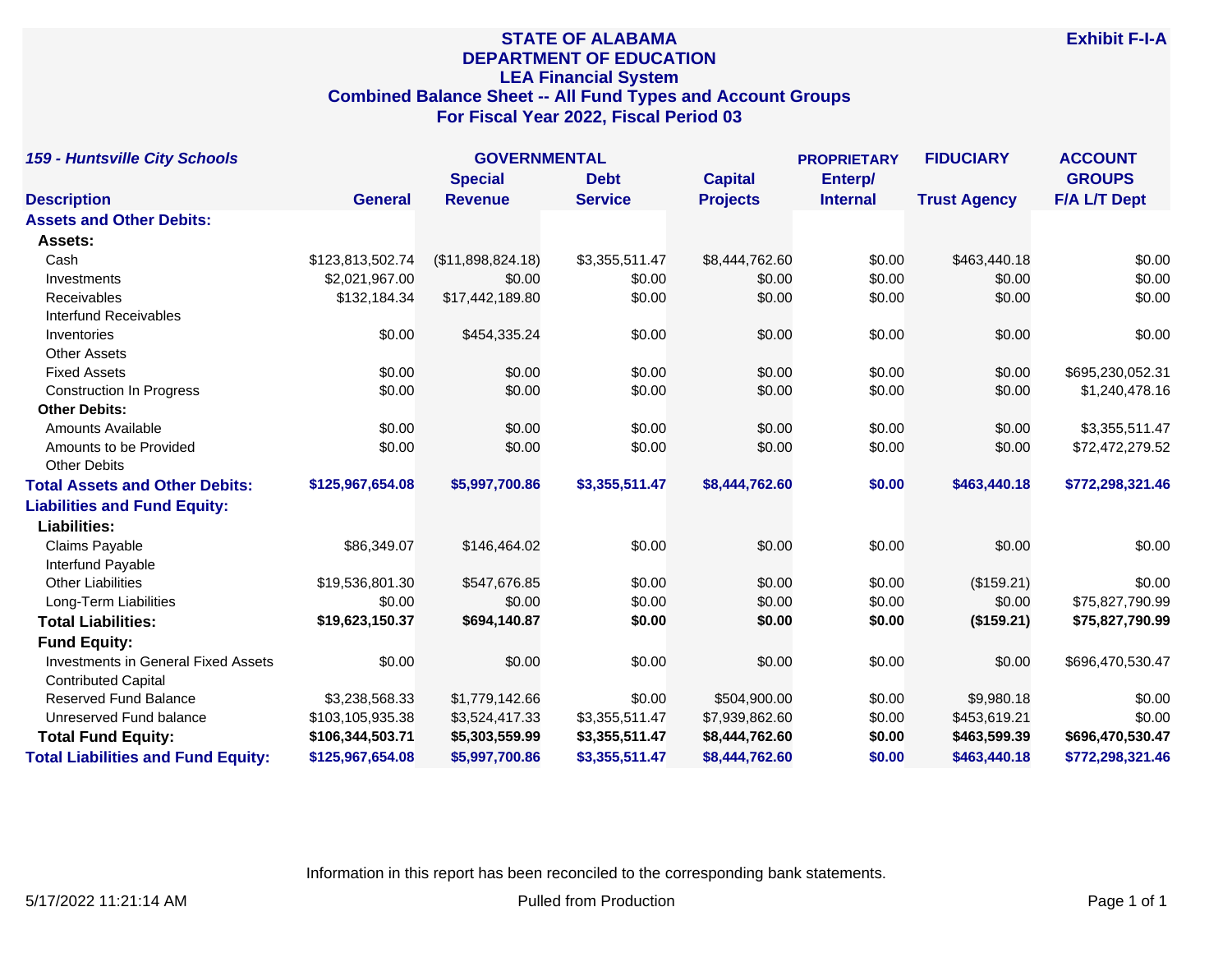# **STATE OF ALABAMA DEPARTMENT OF EDUCATION LEA Financial System Combined Balance Sheet -- All Fund Types and Account Groups For Fiscal Year 2022, Fiscal Period 03**

| <b>159 - Huntsville City Schools</b>       |                  | <b>GOVERNMENTAL</b> |                |                 |                 | <b>FIDUCIARY</b>    | <b>ACCOUNT</b>      |
|--------------------------------------------|------------------|---------------------|----------------|-----------------|-----------------|---------------------|---------------------|
|                                            |                  | <b>Special</b>      | <b>Debt</b>    | <b>Capital</b>  | Enterp/         |                     | <b>GROUPS</b>       |
| <b>Description</b>                         | <b>General</b>   | <b>Revenue</b>      | <b>Service</b> | <b>Projects</b> | <b>Internal</b> | <b>Trust Agency</b> | <b>F/A L/T Dept</b> |
| <b>Assets and Other Debits:</b>            |                  |                     |                |                 |                 |                     |                     |
| Assets:                                    |                  |                     |                |                 |                 |                     |                     |
| Cash                                       | \$123,813,502.74 | (\$11,898,824.18)   | \$3,355,511.47 | \$8,444,762.60  | \$0.00          | \$463,440.18        | \$0.00              |
| Investments                                | \$2,021,967.00   | \$0.00              | \$0.00         | \$0.00          | \$0.00          | \$0.00              | \$0.00              |
| Receivables                                | \$132,184.34     | \$17,442,189.80     | \$0.00         | \$0.00          | \$0.00          | \$0.00              | \$0.00              |
| <b>Interfund Receivables</b>               |                  |                     |                |                 |                 |                     |                     |
| Inventories                                | \$0.00           | \$454,335.24        | \$0.00         | \$0.00          | \$0.00          | \$0.00              | \$0.00              |
| <b>Other Assets</b>                        |                  |                     |                |                 |                 |                     |                     |
| <b>Fixed Assets</b>                        | \$0.00           | \$0.00              | \$0.00         | \$0.00          | \$0.00          | \$0.00              | \$695,230,052.31    |
| <b>Construction In Progress</b>            | \$0.00           | \$0.00              | \$0.00         | \$0.00          | \$0.00          | \$0.00              | \$1,240,478.16      |
| <b>Other Debits:</b>                       |                  |                     |                |                 |                 |                     |                     |
| <b>Amounts Available</b>                   | \$0.00           | \$0.00              | \$0.00         | \$0.00          | \$0.00          | \$0.00              | \$3,355,511.47      |
| Amounts to be Provided                     | \$0.00           | \$0.00              | \$0.00         | \$0.00          | \$0.00          | \$0.00              | \$72,472,279.52     |
| <b>Other Debits</b>                        |                  |                     |                |                 |                 |                     |                     |
| <b>Total Assets and Other Debits:</b>      | \$125,967,654.08 | \$5,997,700.86      | \$3,355,511.47 | \$8,444,762.60  | \$0.00          | \$463,440.18        | \$772,298,321.46    |
| <b>Liabilities and Fund Equity:</b>        |                  |                     |                |                 |                 |                     |                     |
| <b>Liabilities:</b>                        |                  |                     |                |                 |                 |                     |                     |
| Claims Payable                             | \$86,349.07      | \$146,464.02        | \$0.00         | \$0.00          | \$0.00          | \$0.00              | \$0.00              |
| Interfund Payable                          |                  |                     |                |                 |                 |                     |                     |
| <b>Other Liabilities</b>                   | \$19,536,801.30  | \$547,676.85        | \$0.00         | \$0.00          | \$0.00          | (\$159.21)          | \$0.00              |
| Long-Term Liabilities                      | \$0.00           | \$0.00              | \$0.00         | \$0.00          | \$0.00          | \$0.00              | \$75,827,790.99     |
| <b>Total Liabilities:</b>                  | \$19,623,150.37  | \$694,140.87        | \$0.00         | \$0.00          | \$0.00          | (\$159.21)          | \$75,827,790.99     |
| <b>Fund Equity:</b>                        |                  |                     |                |                 |                 |                     |                     |
| <b>Investments in General Fixed Assets</b> | \$0.00           | \$0.00              | \$0.00         | \$0.00          | \$0.00          | \$0.00              | \$696,470,530.47    |
| <b>Contributed Capital</b>                 |                  |                     |                |                 |                 |                     |                     |
| <b>Reserved Fund Balance</b>               | \$3,238,568.33   | \$1,779,142.66      | \$0.00         | \$504,900.00    | \$0.00          | \$9,980.18          | \$0.00              |
| Unreserved Fund balance                    | \$103,105,935.38 | \$3,524,417.33      | \$3,355,511.47 | \$7,939,862.60  | \$0.00          | \$453,619.21        | \$0.00              |
| <b>Total Fund Equity:</b>                  | \$106,344,503.71 | \$5,303,559.99      | \$3,355,511.47 | \$8,444,762.60  | \$0.00          | \$463,599.39        | \$696,470,530.47    |
| <b>Total Liabilities and Fund Equity:</b>  | \$125,967,654.08 | \$5,997,700.86      | \$3,355,511.47 | \$8,444,762.60  | \$0.00          | \$463,440.18        | \$772,298,321.46    |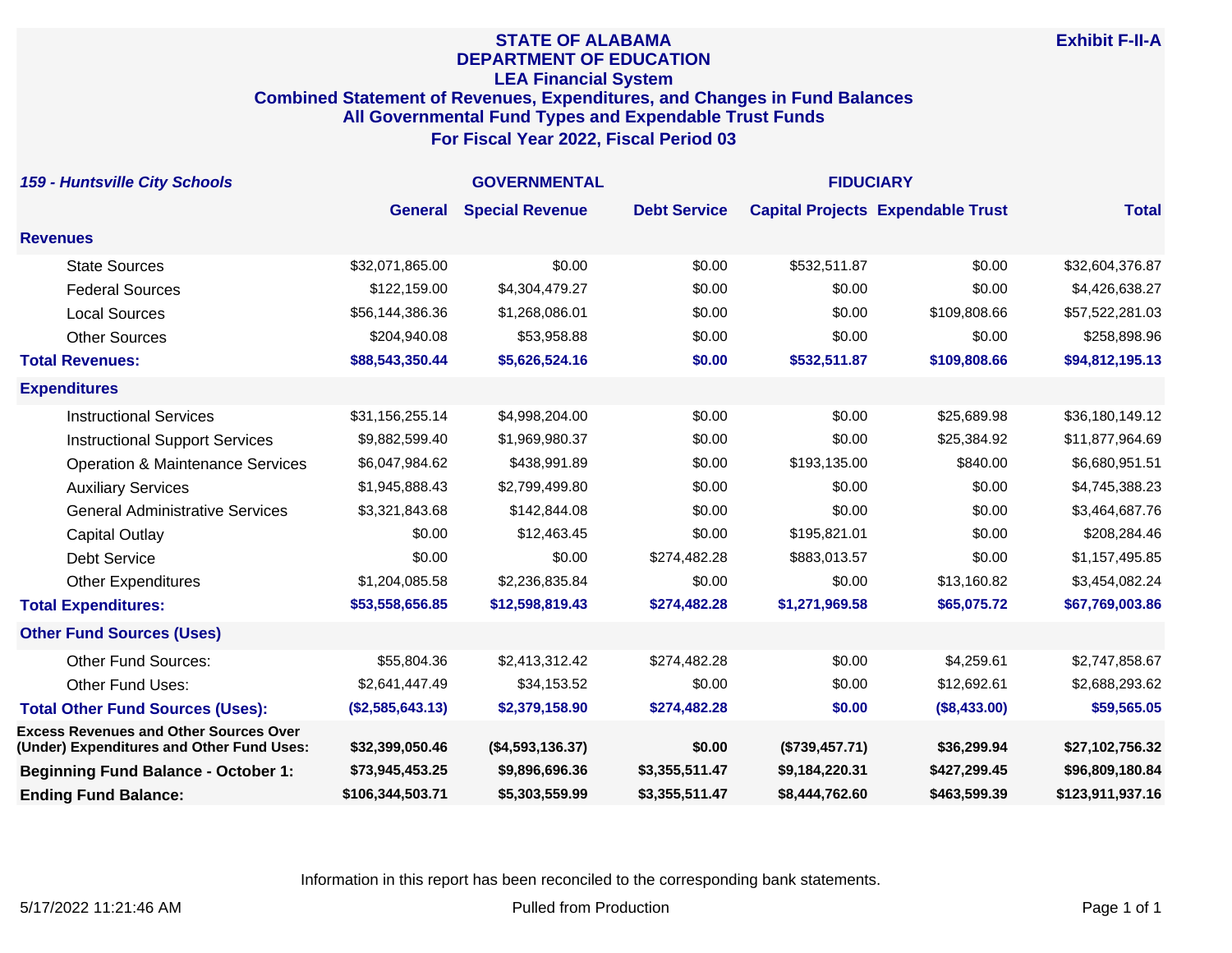## **STATE OF ALABAMA DEPARTMENT OF EDUCATION LEA Financial System Combined Statement of Revenues, Expenditures, and Changes in Fund Balances All Governmental Fund Types and Expendable Trust Funds For Fiscal Year 2022, Fiscal Period 03**

| <b>159 - Huntsville City Schools</b>                                                       | <b>GOVERNMENTAL</b> |                        |                     | <b>FIDUCIARY</b> |                                          |                  |
|--------------------------------------------------------------------------------------------|---------------------|------------------------|---------------------|------------------|------------------------------------------|------------------|
|                                                                                            | <b>General</b>      | <b>Special Revenue</b> | <b>Debt Service</b> |                  | <b>Capital Projects Expendable Trust</b> | <b>Total</b>     |
| <b>Revenues</b>                                                                            |                     |                        |                     |                  |                                          |                  |
| <b>State Sources</b>                                                                       | \$32,071,865.00     | \$0.00                 | \$0.00              | \$532,511.87     | \$0.00                                   | \$32,604,376.87  |
| <b>Federal Sources</b>                                                                     | \$122,159.00        | \$4,304,479.27         | \$0.00              | \$0.00           | \$0.00                                   | \$4,426,638.27   |
| <b>Local Sources</b>                                                                       | \$56,144,386.36     | \$1,268,086.01         | \$0.00              | \$0.00           | \$109,808.66                             | \$57,522,281.03  |
| <b>Other Sources</b>                                                                       | \$204,940.08        | \$53,958.88            | \$0.00              | \$0.00           | \$0.00                                   | \$258,898.96     |
| <b>Total Revenues:</b>                                                                     | \$88,543,350.44     | \$5,626,524.16         | \$0.00              | \$532,511.87     | \$109,808.66                             | \$94,812,195.13  |
| <b>Expenditures</b>                                                                        |                     |                        |                     |                  |                                          |                  |
| <b>Instructional Services</b>                                                              | \$31,156,255.14     | \$4,998,204.00         | \$0.00              | \$0.00           | \$25,689.98                              | \$36,180,149.12  |
| <b>Instructional Support Services</b>                                                      | \$9,882,599.40      | \$1,969,980.37         | \$0.00              | \$0.00           | \$25,384.92                              | \$11,877,964.69  |
| <b>Operation &amp; Maintenance Services</b>                                                | \$6,047,984.62      | \$438,991.89           | \$0.00              | \$193,135.00     | \$840.00                                 | \$6,680,951.51   |
| <b>Auxiliary Services</b>                                                                  | \$1,945,888.43      | \$2,799,499.80         | \$0.00              | \$0.00           | \$0.00                                   | \$4,745,388.23   |
| <b>General Administrative Services</b>                                                     | \$3,321,843.68      | \$142,844.08           | \$0.00              | \$0.00           | \$0.00                                   | \$3,464,687.76   |
| <b>Capital Outlay</b>                                                                      | \$0.00              | \$12,463.45            | \$0.00              | \$195,821.01     | \$0.00                                   | \$208,284.46     |
| <b>Debt Service</b>                                                                        | \$0.00              | \$0.00                 | \$274,482.28        | \$883,013.57     | \$0.00                                   | \$1,157,495.85   |
| <b>Other Expenditures</b>                                                                  | \$1,204,085.58      | \$2,236,835.84         | \$0.00              | \$0.00           | \$13,160.82                              | \$3,454,082.24   |
| <b>Total Expenditures:</b>                                                                 | \$53,558,656.85     | \$12,598,819.43        | \$274,482.28        | \$1,271,969.58   | \$65,075.72                              | \$67,769,003.86  |
| <b>Other Fund Sources (Uses)</b>                                                           |                     |                        |                     |                  |                                          |                  |
| <b>Other Fund Sources:</b>                                                                 | \$55,804.36         | \$2,413,312.42         | \$274,482.28        | \$0.00           | \$4,259.61                               | \$2,747,858.67   |
| Other Fund Uses:                                                                           | \$2,641,447.49      | \$34,153.52            | \$0.00              | \$0.00           | \$12,692.61                              | \$2,688,293.62   |
| <b>Total Other Fund Sources (Uses):</b>                                                    | (\$2,585,643.13)    | \$2,379,158.90         | \$274,482.28        | \$0.00           | (\$8,433.00)                             | \$59,565.05      |
| <b>Excess Revenues and Other Sources Over</b><br>(Under) Expenditures and Other Fund Uses: | \$32,399,050.46     | (\$4,593,136.37)       | \$0.00              | (\$739,457.71)   | \$36,299.94                              | \$27,102,756.32  |
| <b>Beginning Fund Balance - October 1:</b>                                                 | \$73,945,453.25     | \$9,896,696.36         | \$3,355,511.47      | \$9,184,220.31   | \$427,299.45                             | \$96,809,180.84  |
| <b>Ending Fund Balance:</b>                                                                | \$106,344,503.71    | \$5,303,559.99         | \$3,355,511.47      | \$8,444,762.60   | \$463,599.39                             | \$123,911,937.16 |

Information in this report has been reconciled to the corresponding bank statements.

**Exhibit F-II-A**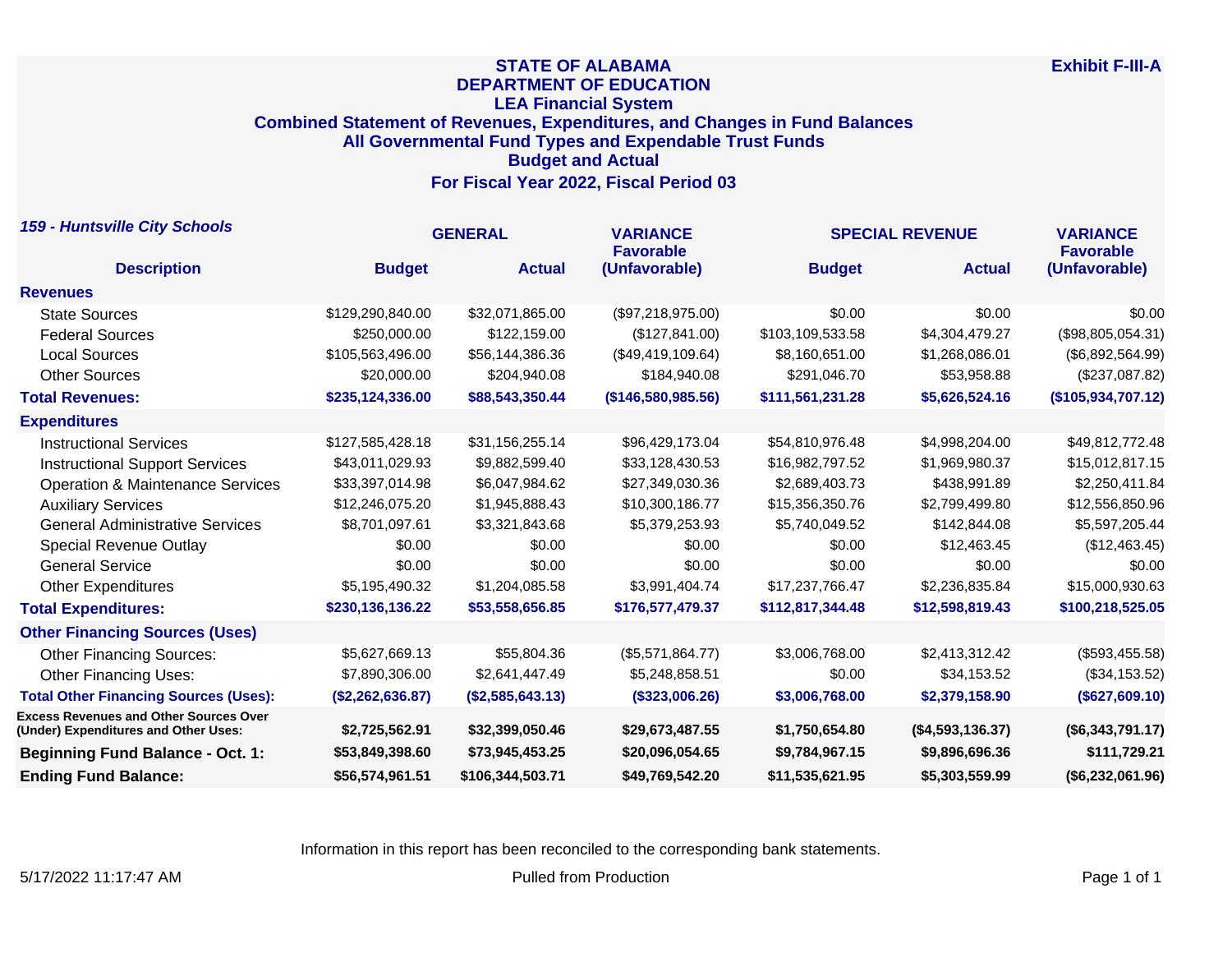## **STATE OF ALABAMA DEPARTMENT OF EDUCATION LEA Financial System Combined Statement of Revenues, Expenditures, and Changes in Fund Balances All Governmental Fund Types and Expendable Trust Funds Budget and Actual For Fiscal Year 2022, Fiscal Period 03**

| <b>159 - Huntsville City Schools</b>                                                  | <b>GENERAL</b>   |                  | <b>VARIANCE</b><br><b>Favorable</b> | <b>SPECIAL REVENUE</b> |                  | <b>VARIANCE</b><br><b>Favorable</b> |
|---------------------------------------------------------------------------------------|------------------|------------------|-------------------------------------|------------------------|------------------|-------------------------------------|
| <b>Description</b>                                                                    | <b>Budget</b>    | <b>Actual</b>    | (Unfavorable)                       | <b>Budget</b>          | <b>Actual</b>    | (Unfavorable)                       |
| <b>Revenues</b>                                                                       |                  |                  |                                     |                        |                  |                                     |
| <b>State Sources</b>                                                                  | \$129,290,840.00 | \$32,071,865.00  | (\$97,218,975.00)                   | \$0.00                 | \$0.00           | \$0.00                              |
| <b>Federal Sources</b>                                                                | \$250,000.00     | \$122,159.00     | (\$127,841.00)                      | \$103,109,533.58       | \$4,304,479.27   | (\$98,805,054.31)                   |
| <b>Local Sources</b>                                                                  | \$105,563,496.00 | \$56,144,386.36  | (\$49,419,109.64)                   | \$8,160,651.00         | \$1,268,086.01   | (\$6,892,564.99)                    |
| <b>Other Sources</b>                                                                  | \$20,000.00      | \$204,940.08     | \$184,940.08                        | \$291,046.70           | \$53,958.88      | (\$237,087.82)                      |
| <b>Total Revenues:</b>                                                                | \$235,124,336.00 | \$88,543,350.44  | (146, 580, 985.56)                  | \$111,561,231.28       | \$5,626,524.16   | (\$105,934,707.12)                  |
| <b>Expenditures</b>                                                                   |                  |                  |                                     |                        |                  |                                     |
| <b>Instructional Services</b>                                                         | \$127,585,428.18 | \$31,156,255.14  | \$96,429,173.04                     | \$54,810,976.48        | \$4,998,204.00   | \$49,812,772.48                     |
| <b>Instructional Support Services</b>                                                 | \$43,011,029.93  | \$9,882,599.40   | \$33,128,430.53                     | \$16,982,797.52        | \$1,969,980.37   | \$15,012,817.15                     |
| <b>Operation &amp; Maintenance Services</b>                                           | \$33,397,014.98  | \$6,047,984.62   | \$27,349,030.36                     | \$2,689,403.73         | \$438,991.89     | \$2,250,411.84                      |
| <b>Auxiliary Services</b>                                                             | \$12,246,075.20  | \$1,945,888.43   | \$10,300,186.77                     | \$15,356,350.76        | \$2,799,499.80   | \$12,556,850.96                     |
| <b>General Administrative Services</b>                                                | \$8,701,097.61   | \$3,321,843.68   | \$5,379,253.93                      | \$5,740,049.52         | \$142,844.08     | \$5,597,205.44                      |
| <b>Special Revenue Outlay</b>                                                         | \$0.00           | \$0.00           | \$0.00                              | \$0.00                 | \$12,463,45      | (\$12,463.45)                       |
| <b>General Service</b>                                                                | \$0.00           | \$0.00           | \$0.00                              | \$0.00                 | \$0.00           | \$0.00                              |
| <b>Other Expenditures</b>                                                             | \$5,195,490.32   | \$1,204,085.58   | \$3,991,404.74                      | \$17,237,766.47        | \$2,236,835.84   | \$15,000,930.63                     |
| <b>Total Expenditures:</b>                                                            | \$230,136,136.22 | \$53,558,656.85  | \$176,577,479.37                    | \$112,817,344.48       | \$12,598,819.43  | \$100,218,525.05                    |
| <b>Other Financing Sources (Uses)</b>                                                 |                  |                  |                                     |                        |                  |                                     |
| <b>Other Financing Sources:</b>                                                       | \$5,627,669.13   | \$55,804.36      | (\$5,571,864.77)                    | \$3,006,768.00         | \$2,413,312.42   | (\$593,455.58)                      |
| <b>Other Financing Uses:</b>                                                          | \$7,890,306.00   | \$2,641,447.49   | \$5,248,858.51                      | \$0.00                 | \$34,153.52      | (\$34,153.52)                       |
| <b>Total Other Financing Sources (Uses):</b>                                          | (\$2,262,636.87) | (\$2,585,643.13) | (\$323,006.26)                      | \$3,006,768.00         | \$2,379,158.90   | (\$627,609.10)                      |
| <b>Excess Revenues and Other Sources Over</b><br>(Under) Expenditures and Other Uses: | \$2,725,562.91   | \$32,399,050.46  | \$29,673,487.55                     | \$1,750,654.80         | (\$4,593,136.37) | (\$6,343,791.17)                    |
| <b>Beginning Fund Balance - Oct. 1:</b>                                               | \$53,849,398.60  | \$73,945,453.25  | \$20,096,054.65                     | \$9,784,967.15         | \$9,896,696.36   | \$111,729.21                        |
| <b>Ending Fund Balance:</b>                                                           | \$56,574,961.51  | \$106,344,503.71 | \$49,769,542.20                     | \$11,535,621.95        | \$5,303,559.99   | (\$6,232,061.96)                    |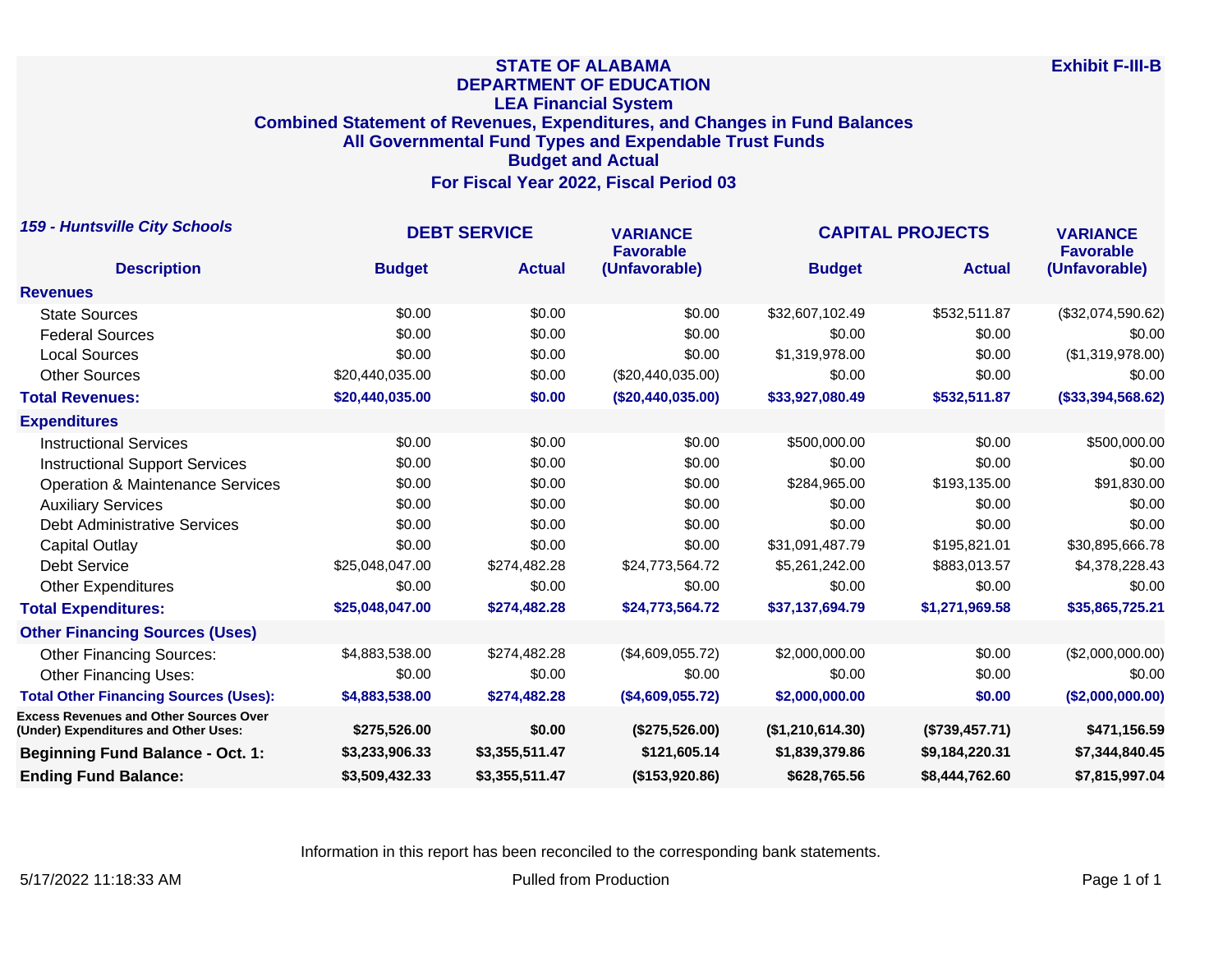## **STATE OF ALABAMA DEPARTMENT OF EDUCATION LEA Financial System Combined Statement of Revenues, Expenditures, and Changes in Fund Balances All Governmental Fund Types and Expendable Trust Funds Budget and Actual For Fiscal Year 2022, Fiscal Period 03**

| <b>159 - Huntsville City Schools</b>                                                  | <b>DEBT SERVICE</b> |                | <b>VARIANCE</b><br><b>Favorable</b> | <b>CAPITAL PROJECTS</b> |                | <b>VARIANCE</b><br><b>Favorable</b> |
|---------------------------------------------------------------------------------------|---------------------|----------------|-------------------------------------|-------------------------|----------------|-------------------------------------|
| <b>Description</b>                                                                    | <b>Budget</b>       | <b>Actual</b>  | (Unfavorable)                       | <b>Budget</b>           | <b>Actual</b>  | (Unfavorable)                       |
| <b>Revenues</b>                                                                       |                     |                |                                     |                         |                |                                     |
| <b>State Sources</b>                                                                  | \$0.00              | \$0.00         | \$0.00                              | \$32,607,102.49         | \$532,511.87   | (\$32,074,590.62)                   |
| <b>Federal Sources</b>                                                                | \$0.00              | \$0.00         | \$0.00                              | \$0.00                  | \$0.00         | \$0.00                              |
| <b>Local Sources</b>                                                                  | \$0.00              | \$0.00         | \$0.00                              | \$1,319,978.00          | \$0.00         | (\$1,319,978.00)                    |
| <b>Other Sources</b>                                                                  | \$20,440,035.00     | \$0.00         | (\$20,440,035.00)                   | \$0.00                  | \$0.00         | \$0.00                              |
| <b>Total Revenues:</b>                                                                | \$20,440,035.00     | \$0.00         | (\$20,440,035.00)                   | \$33,927,080.49         | \$532,511.87   | (\$33,394,568.62)                   |
| <b>Expenditures</b>                                                                   |                     |                |                                     |                         |                |                                     |
| <b>Instructional Services</b>                                                         | \$0.00              | \$0.00         | \$0.00                              | \$500,000.00            | \$0.00         | \$500,000.00                        |
| <b>Instructional Support Services</b>                                                 | \$0.00              | \$0.00         | \$0.00                              | \$0.00                  | \$0.00         | \$0.00                              |
| <b>Operation &amp; Maintenance Services</b>                                           | \$0.00              | \$0.00         | \$0.00                              | \$284,965.00            | \$193,135.00   | \$91,830.00                         |
| <b>Auxiliary Services</b>                                                             | \$0.00              | \$0.00         | \$0.00                              | \$0.00                  | \$0.00         | \$0.00                              |
| <b>Debt Administrative Services</b>                                                   | \$0.00              | \$0.00         | \$0.00                              | \$0.00                  | \$0.00         | \$0.00                              |
| Capital Outlay                                                                        | \$0.00              | \$0.00         | \$0.00                              | \$31,091,487.79         | \$195,821.01   | \$30,895,666.78                     |
| <b>Debt Service</b>                                                                   | \$25,048,047.00     | \$274,482.28   | \$24,773,564.72                     | \$5,261,242.00          | \$883,013.57   | \$4,378,228.43                      |
| <b>Other Expenditures</b>                                                             | \$0.00              | \$0.00         | \$0.00                              | \$0.00                  | \$0.00         | \$0.00                              |
| <b>Total Expenditures:</b>                                                            | \$25,048,047.00     | \$274,482.28   | \$24,773,564.72                     | \$37,137,694.79         | \$1,271,969.58 | \$35,865,725.21                     |
| <b>Other Financing Sources (Uses)</b>                                                 |                     |                |                                     |                         |                |                                     |
| <b>Other Financing Sources:</b>                                                       | \$4,883,538.00      | \$274,482.28   | (\$4,609,055.72)                    | \$2,000,000.00          | \$0.00         | (\$2,000,000.00)                    |
| <b>Other Financing Uses:</b>                                                          | \$0.00              | \$0.00         | \$0.00                              | \$0.00                  | \$0.00         | \$0.00                              |
| <b>Total Other Financing Sources (Uses):</b>                                          | \$4,883,538.00      | \$274,482.28   | (\$4,609,055.72)                    | \$2,000,000.00          | \$0.00         | (\$2,000,000.00)                    |
| <b>Excess Revenues and Other Sources Over</b><br>(Under) Expenditures and Other Uses: | \$275,526.00        | \$0.00         | (\$275,526.00)                      | (\$1,210,614.30)        | (\$739,457.71) | \$471,156.59                        |
| <b>Beginning Fund Balance - Oct. 1:</b>                                               | \$3,233,906.33      | \$3,355,511.47 | \$121,605.14                        | \$1,839,379.86          | \$9,184,220.31 | \$7,344,840.45                      |
| <b>Ending Fund Balance:</b>                                                           | \$3,509,432.33      | \$3,355,511.47 | (\$153,920.86)                      | \$628,765.56            | \$8,444,762.60 | \$7,815,997.04                      |